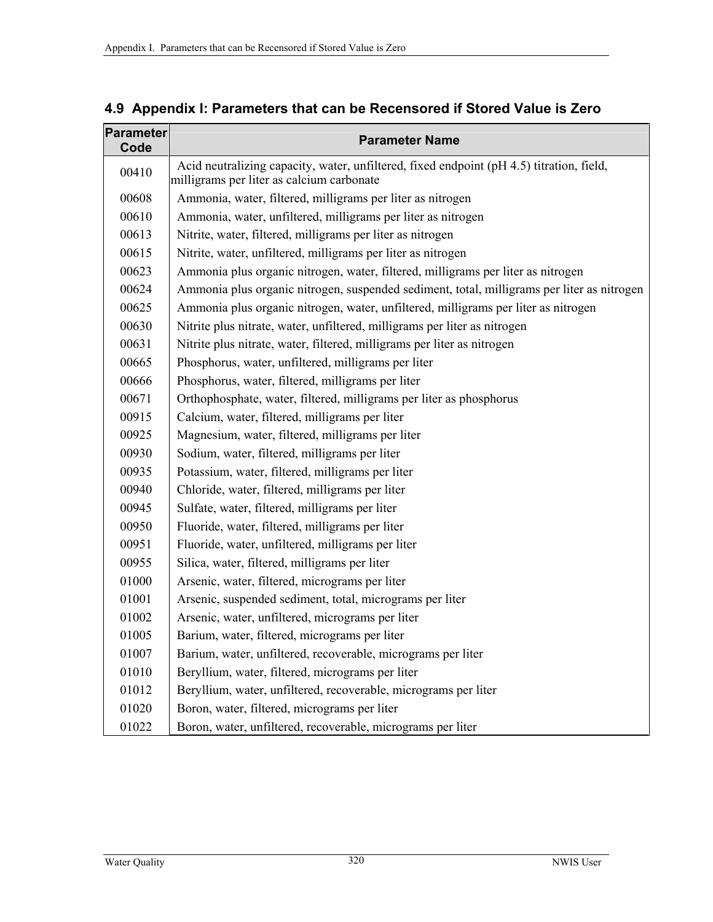| Parameter<br>Code | <b>Parameter Name</b>                                                                                                                 |
|-------------------|---------------------------------------------------------------------------------------------------------------------------------------|
| 00410             | Acid neutralizing capacity, water, unfiltered, fixed endpoint (pH 4.5) titration, field,<br>milligrams per liter as calcium carbonate |
| 00608             | Ammonia, water, filtered, milligrams per liter as nitrogen                                                                            |
| 00610             | Ammonia, water, unfiltered, milligrams per liter as nitrogen                                                                          |
| 00613             | Nitrite, water, filtered, milligrams per liter as nitrogen                                                                            |
| 00615             | Nitrite, water, unfiltered, milligrams per liter as nitrogen                                                                          |
| 00623             | Ammonia plus organic nitrogen, water, filtered, milligrams per liter as nitrogen                                                      |
| 00624             | Ammonia plus organic nitrogen, suspended sediment, total, milligrams per liter as nitrogen                                            |
| 00625             | Ammonia plus organic nitrogen, water, unfiltered, milligrams per liter as nitrogen                                                    |
| 00630             | Nitrite plus nitrate, water, unfiltered, milligrams per liter as nitrogen                                                             |
| 00631             | Nitrite plus nitrate, water, filtered, milligrams per liter as nitrogen                                                               |
| 00665             | Phosphorus, water, unfiltered, milligrams per liter                                                                                   |
| 00666             | Phosphorus, water, filtered, milligrams per liter                                                                                     |
| 00671             | Orthophosphate, water, filtered, milligrams per liter as phosphorus                                                                   |
| 00915             | Calcium, water, filtered, milligrams per liter                                                                                        |
| 00925             | Magnesium, water, filtered, milligrams per liter                                                                                      |
| 00930             | Sodium, water, filtered, milligrams per liter                                                                                         |
| 00935             | Potassium, water, filtered, milligrams per liter                                                                                      |
| 00940             | Chloride, water, filtered, milligrams per liter                                                                                       |
| 00945             | Sulfate, water, filtered, milligrams per liter                                                                                        |
| 00950             | Fluoride, water, filtered, milligrams per liter                                                                                       |
| 00951             | Fluoride, water, unfiltered, milligrams per liter                                                                                     |
| 00955             | Silica, water, filtered, milligrams per liter                                                                                         |
| 01000             | Arsenic, water, filtered, micrograms per liter                                                                                        |
| 01001             | Arsenic, suspended sediment, total, micrograms per liter                                                                              |
| 01002             | Arsenic, water, unfiltered, micrograms per liter                                                                                      |
| 01005             | Barium, water, filtered, micrograms per liter                                                                                         |
| 01007             | Barium, water, unfiltered, recoverable, micrograms per liter                                                                          |
| 01010             | Beryllium, water, filtered, micrograms per liter                                                                                      |
| 01012             | Beryllium, water, unfiltered, recoverable, micrograms per liter                                                                       |
| 01020             | Boron, water, filtered, micrograms per liter                                                                                          |
| 01022             | Boron, water, unfiltered, recoverable, micrograms per liter                                                                           |

## **4.9 Appendix I: Parameters that can be Recensored if Stored Value is Zero**